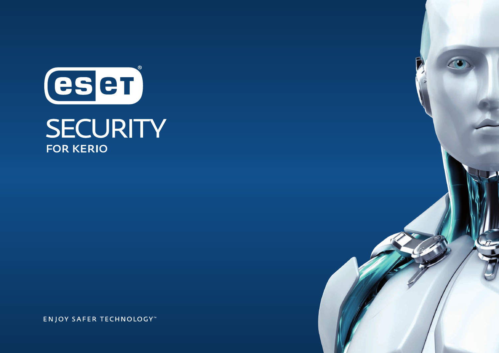

**ENJOY SAFER TECHNOLOGY™**